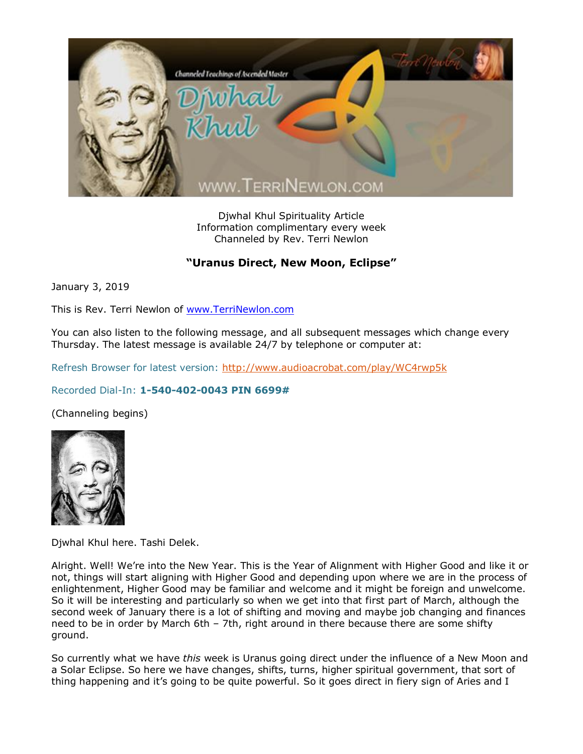

Djwhal Khul Spirituality Article Information complimentary every week Channeled by Rev. Terri Newlon

## **"Uranus Direct, New Moon, Eclipse"**

January 3, 2019

This is Rev. Terri Newlon of [www.TerriNewlon.com](http://www.terrinewlon.com/)

You can also listen to the following message, and all subsequent messages which change every Thursday. The latest message is available 24/7 by telephone or computer at:

Refresh Browser for latest version:<http://www.audioacrobat.com/play/WC4rwp5k>

## Recorded Dial-In: **1-540-402-0043 PIN 6699#**

(Channeling begins)



Djwhal Khul here. Tashi Delek.

Alright. Well! We're into the New Year. This is the Year of Alignment with Higher Good and like it or not, things will start aligning with Higher Good and depending upon where we are in the process of enlightenment, Higher Good may be familiar and welcome and it might be foreign and unwelcome. So it will be interesting and particularly so when we get into that first part of March, although the second week of January there is a lot of shifting and moving and maybe job changing and finances need to be in order by March 6th – 7th, right around in there because there are some shifty ground.

So currently what we have *this* week is Uranus going direct under the influence of a New Moon and a Solar Eclipse. So here we have changes, shifts, turns, higher spiritual government, that sort of thing happening and it's going to be quite powerful. So it goes direct in fiery sign of Aries and I